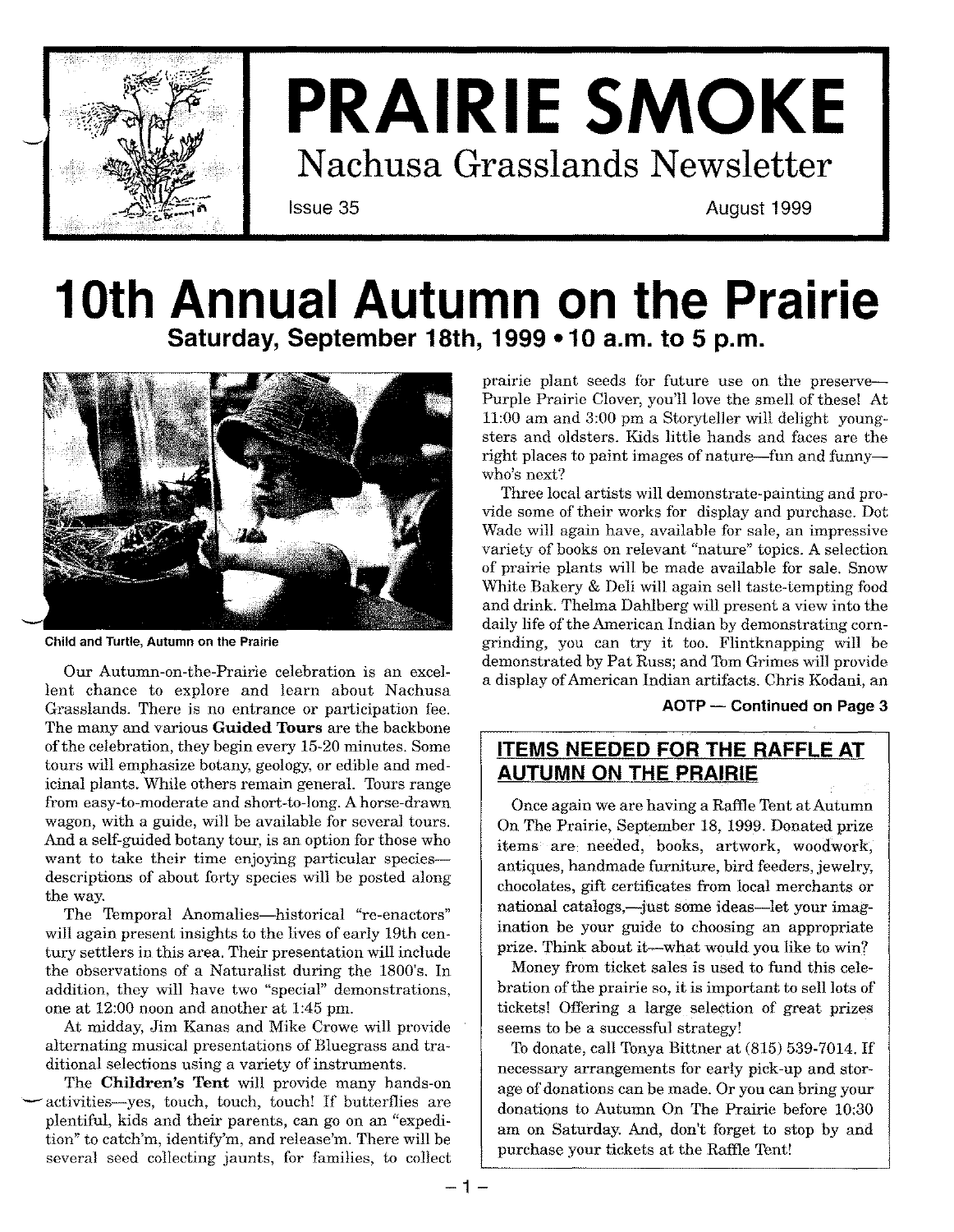

# **PRAIRIE SMOKE Nachusa Grasslands Newsletter**

**Issue 35 August 1999**

### **10th Annual Autumn on the Prairie Saturday, September 18th, 1999 -10 a.m. to 5 p.m.**



**Child and Turtle, Autumn on the Prairie**

Our Autumn-on-the-Prairie celebration is an excellent chance to explore and learn about Nachusa Grasslands. There is no entrance or participation fee. The many and various **Guided Tours** are the backbone of the celebration, they begin every 15-20 minutes. Some tours will emphasize botany, geology, or edible and medicinal plants. While others remain general. Tours range from easy-to-moderate and short-to-long. A horse-drawn wagon, with a guide, will be available for several tours. And a self-guided botany tour, is an option for those who want to take their time enjoying particular speciesdescriptions of about forty species will be posted along the way.

The Temporal Anomalies-historical "re-enactors" will again present insights to the lives of early 19th century settlers in this area. Their presentation will include the observations of a Naturalist during the 1800's. **In** addition, they will have two "special" demonstrations, one at 12:00 noon and another at 1:45 pm.

At midday, Jim Kanas and Mike Crowe will provide alternating musical presentations of Bluegrass and traditional selections using a variety of instruments.

The **Children's Tent** will provide many hands-on activities-yes, touch, touch, touch! If butterflies are plentiful, kids and their parents, can go on an "expedition" to catch'm, identify'm, and release'm. There will be several seed collecting jaunts, for families, to collect prairie plant seeds for future use on the preserve-Purple Prairie Clover, you'll love the smell of these! At 11:00 am and 3:00 pm a Storyteller will delight youngsters and oldsters. Kids little hands and faces are the right places to paint images of nature-fun and funnywho's next?

Three local artists will demonstrate-painting and provide some of their works for display and purchase. Dot Wade will again have, available for sale, an impressive variety of books on relevant "nature" topics. A selection of prairie plants will be made available for sale. Snow White Bakery & Deli will again sell taste-tempting food and drink. Thelma Dahlberg will present a view into the daily life of the American Indian by demonstrating corngrinding, you can try it too. Flintknapping will be demonstrated by Pat Russ; and TomGrimes will provide a display ofAmerican Indian artifacts. Chris Kodani, an

**AOTP - Continued on Page 3**

### **ITEMS NEEDED FOR THE RAFFLE AT AUTUMN ON THE PRAIRIE**

Once again we are having a Raffle Tent at Autumn On The Prairie, September 18, 1999. Donated prize items are needed, books, artwork, woodwork, antiques, handmade furniture, bird feeders, jewelry, chocolates, gift certificates from local merchants or national catalogs,—just some ideas—let your imagination be your guide to choosing an appropriate prize. Think about it-what would you like to win?

Money from ticket sales is used to fund this celebration of the prairie so, it is important to sell lots of tickets! Offering a large selection of great prizes seems to be a successful strategy!

To donate, call Tonya Bittner at (815) 539-7014. **If** necessary arrangements for early pick-up and storage of donations can be made. Or you can bring your donations to Autumn On The Prairie before 10:30 am on Saturday. And, don't forget to stop by and purchase your tickets at the Raffle Tent!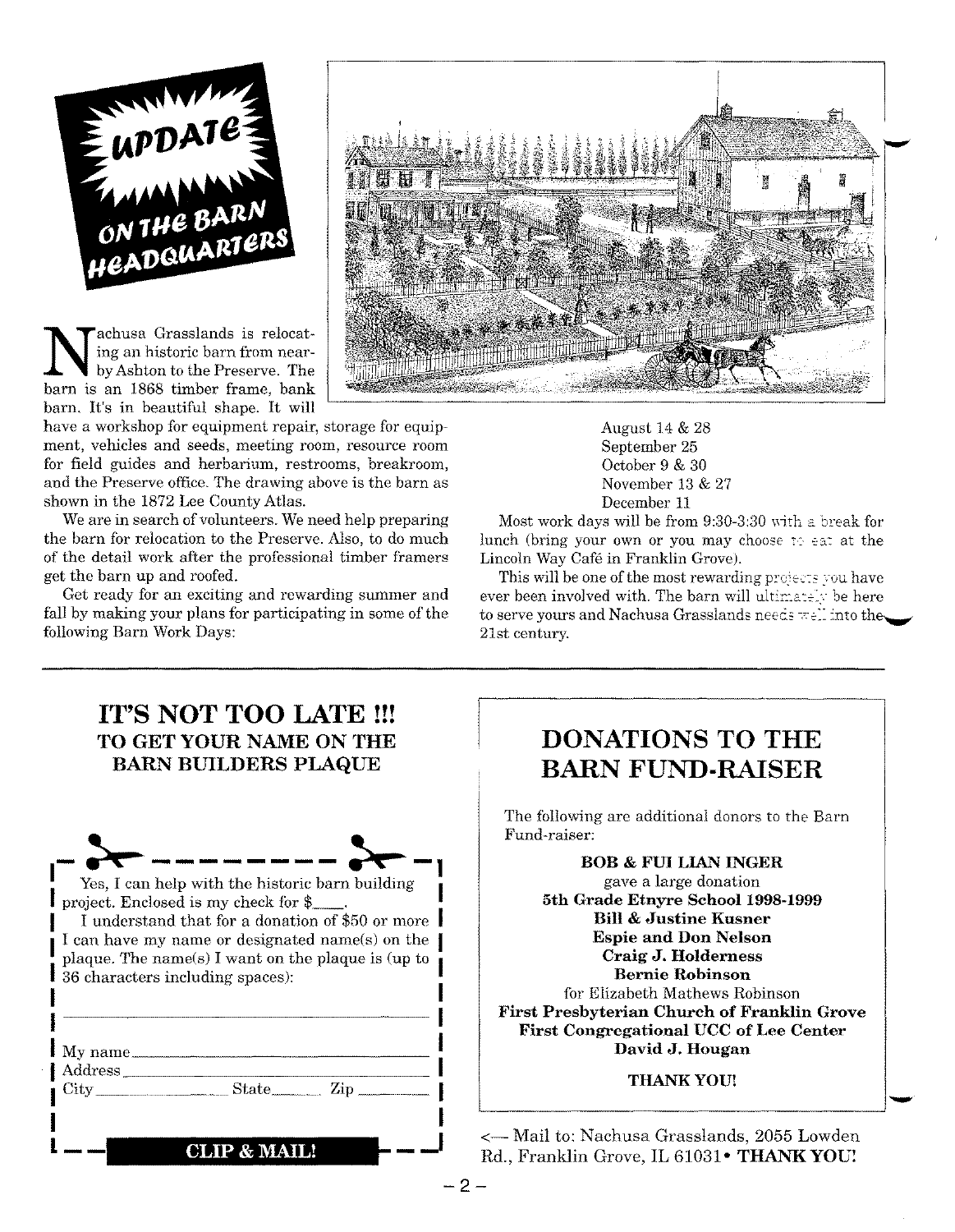

Nachusa Grasslands is relocating an historic barn from near-<br>by Ashton to the Preserve. The<br>barn is an 1868 timber frame, bank achusa Grasslands is relocating an historic barn from nearby Ashton to the Preserve. The barn. It's in beautiful shape. It will

have a workshop for equipment repair, storage for equipment, vehicles and seeds, meeting room, resource room for field guides and herbarium, restrooms, breakroom, and the Preserve office. The drawing above is the barn as shown in the 1872 Lee County Atlas.

We are in search of volunteers. We need help preparing the barn for relocation to the Preserve. Also, to do much of the detail work after the professional timber framers get the barn up and roofed.

Get ready for an exciting and rewarding summer and fall by making your plans for participating in some of the following Barn Work Days:



August 14 & 28 September 25 October 9 & 30 November 13 & 27 December 11

Most work days will be from  $9:30-3:30$  with a break for lunch (bring your own or you may choose to eat at the Lincoln Way Cafe in Franklin Grove).

This will be one of the most rewarding projects you have ever been involved with. The barn will ultimately be here to serve yours and Nachusa Grasslands needs  $\pm e^{i}$  into the $\sim$ 21st century.

| IT'S NOT TOO LATE !!!<br>TO GET YOUR NAME ON THE<br><b>BARN BUILDERS PLAQUE</b>                                                                                                                                                                                                                   |                                                         |
|---------------------------------------------------------------------------------------------------------------------------------------------------------------------------------------------------------------------------------------------------------------------------------------------------|---------------------------------------------------------|
|                                                                                                                                                                                                                                                                                                   | The f<br>Fund                                           |
| Yes, I can help with the historic barn building<br>project. Enclosed is my check for \$<br>I understand that for a donation of \$50 or more<br>I can have my name or designated name(s) on the<br>plaque. The name(s) I want on the plaque is (up to<br><b>I</b> 36 characters including spaces): |                                                         |
| My name                                                                                                                                                                                                                                                                                           | First<br>Fir                                            |
| Address                                                                                                                                                                                                                                                                                           |                                                         |
| <b>CLIP &amp; MAIL!</b>                                                                                                                                                                                                                                                                           | <— Mai<br>$\operatorname{Rd}_{\cdot},\operatorname{Fr}$ |

### **DONATIONS TO THE BARN FUND-RAISER**

ollowing are additional donors to the Barn raiser:

**BOB & FUI LIAN INGER** gave a large donation **5th Grade Etnyre** School 1998-1999 **Bill & Justine Kusner Espie and Don Nelson Craig J. Holderness Bernie Robinson** for Elizabeth Mathews Robinson **First Presbyterian Church of Franklin Grove First Congregational UCC of Lee Center David J. Hougan**

#### THANK YOU!

-

1 to: Nachusa Grasslands, 2055 Lowden  $R$ anklin Grove, IL 61031• **THANK YOU!**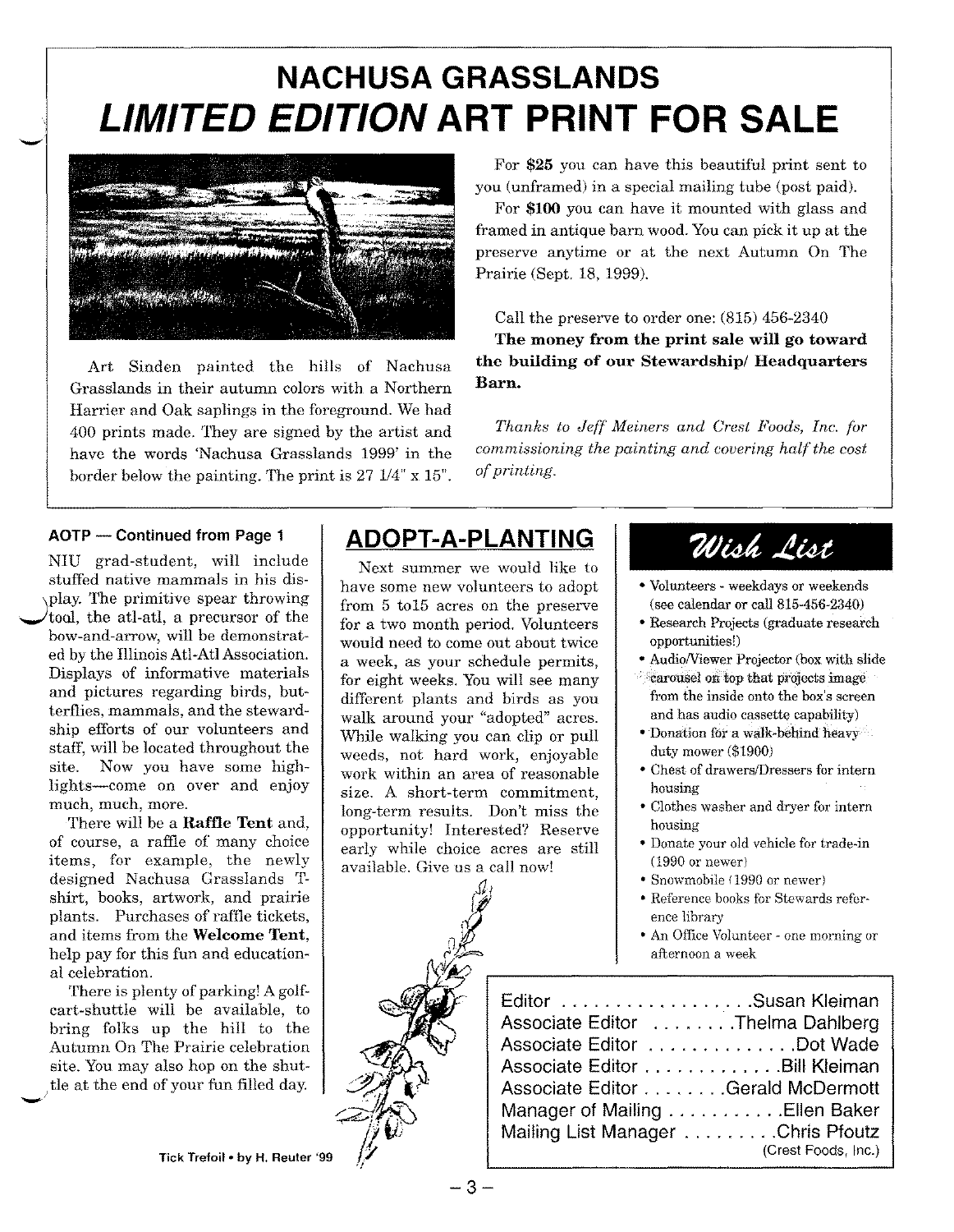## **NACHUSA GRASSLANDS** *LIMITED EDITION* **ART PRINT FOR SALE**



Art Sinden painted the hills of Nachusa **the building of our Stewardship/ Headquarters** Grasslands in their autumn colors with a Northern **Barn.** Harrier and Oak saplings in the foreground. We had 400 prints made. They are signed by the artist and *Thanks to Jeff Meiners and Crest Foods, Inc. for* have the words 'Nachusa Grasslands 1999' in the *commissioning the painting and covering half the cost* border below the painting. The print is 27  $1/4$ " x  $15$ ". *of printing.* 

NIU grad-student, will include stuffed native mammals in his dis play. The primitive spear throwing tool, the atl-atl, a precursor of the bow-and-arrow, will be demonstrated by the Illinois Atl-AtlAssociation. Displays of informative materials and pictures regarding birds, butterflies, mammals, and the stewardship efforts of our volunteers and staff, will be located throughout the site. Now you have some highlights-come on over and enjoy much, much, more.

There will be a **Raffle Tent** and, of course, a raffle of many choice items, for example, the newly designed Nachusa Grasslands Tshirt, books, artwork, and prairie plants. Purchases of raffle tickets, and items from the **Welcome Tent,** help pay for this fun and educational celebration.

There is plenty of parking! A golfcart-shuttle will be available, to bring folks up the hill to the Autumn On The Prairie celebration site. You may also hop on the shuttle at the end of your fun filled day.

### **AOTP - Continued from Page <sup>1</sup> ADOPT-A-PLANTING**

Next summer we would like to have some new volunteers to adopt from 5 to15 acres on the preserve for a two month period. Volunteers would need to come out about twice a week, as your schedule permits, for eight weeks. You will see many different plants and birds as you walk around your "adopted" acres. While walking you can clip or pull weeds, not hard work, enjoyable work within an area of reasonable size. A short-term commitment, long-term results. Don't miss the opportunity! Interested? Reserve early while choice acres are still available. Give us a call now!

*Sl,*

*~i{*

# Wish List

you (unframed) in a special mailing tube (post paid). For **\$100** you can have it mounted with glass and framed in antique barn wood.Youcan pick it up at the preserve anytime or at the next Autumn On The

Call the preserve to order one: (815) 456-2340 **The money from the print sale will go toward**

Prairie (Sept. 18, 1999).

- Volunteers weekdays or weekends (see calendar or call 815-456-2340)
- Research Projects (graduate research opportunitiesl)
- Audio/Viewer Projector (box with slide
- .carousel on top that projects image from the inside onto the box's screen and has audio cassette capability)
- Donation for a walk-behind heavy duty mower (\$1900)
- Chest of drawers/Dressers for intern housing
- Clothes washer and dryer for intern housing
- Donate your old vehicle for trade-in (1990 or newer)
- Snowmobile (1990 or newer)
- Reference books for Stewards reference library
- An Office Volunteer one morning or afternoon a week

 $\mathscr{Y}$ 

| Editor Susan Kleiman              |                     |
|-----------------------------------|---------------------|
| Associate Editor Thelma Dahlberg  |                     |
| Associate Editor Dot Wade         |                     |
| Associate Editor Bill Kleiman     |                     |
| Associate Editor Gerald McDermott |                     |
| Manager of Mailing Ellen Baker    |                     |
| Mailing List Manager Chris Pfoutz |                     |
|                                   | (Crest Foods, Inc.) |

Tick Trefoil . by H. Reuter '99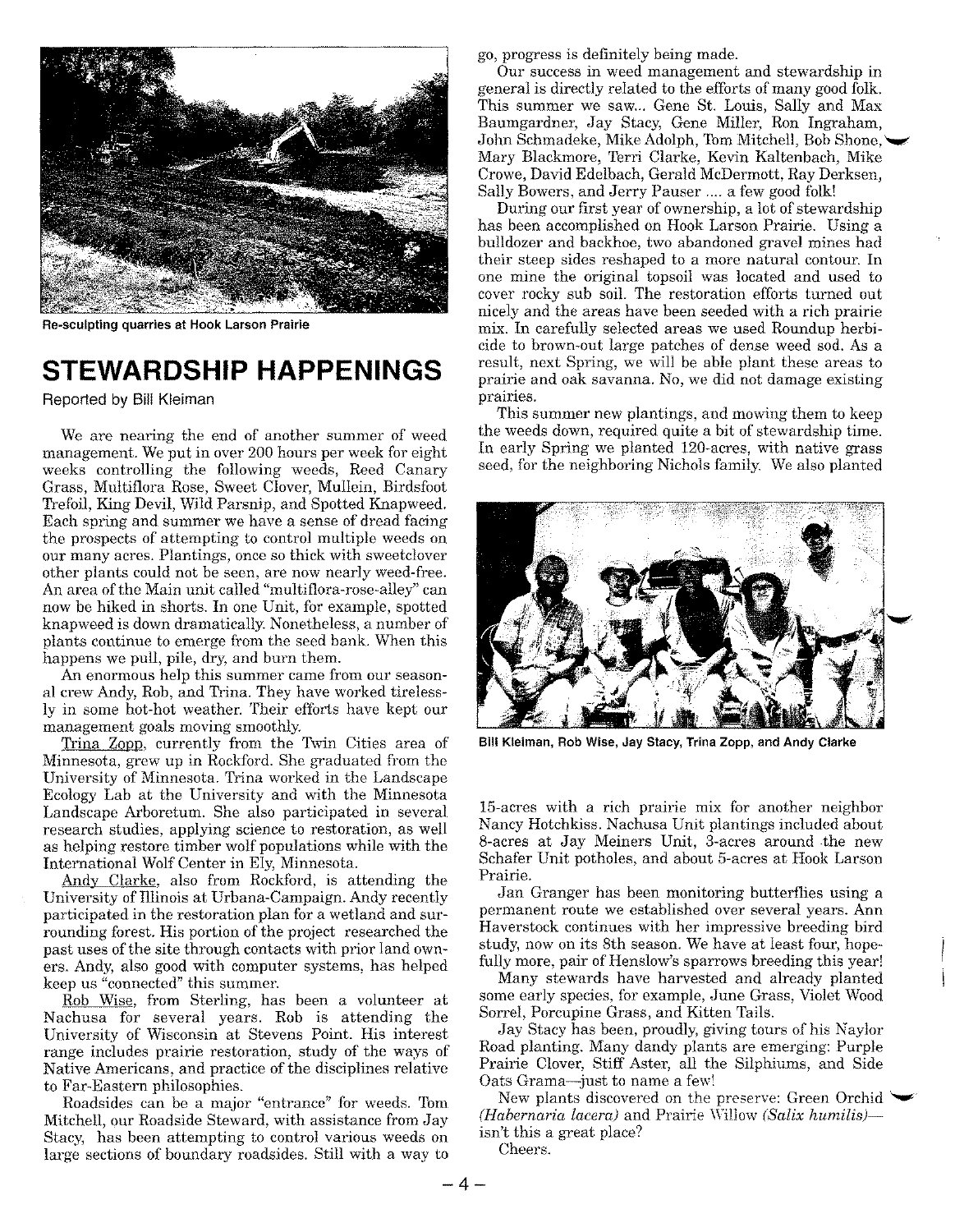

Re-sculpting quarries at Hook Larson Prairie

### **STEWARDSHIP HAPPENINGS**

Reported by Bill Kleiman

We are nearing the end of another summer of weed management. We put in over 200 hours per week for eight weeks controlling the following weeds, Reed Canary Grass, Multiflora Rose, Sweet Clover, Mullein, Birdsfoot Trefoil, King Devil, Wild Parsnip, and Spotted Knapweed. Each spring and summer we have a sense of dread facing the prospects of attempting to control multiple weeds on our many acres. Plantings, once so thick with sweetclover other plants could not be seen, are now nearly weed-free. An area of the Main unit called "multiflora-rose-alley" can now be hiked in shorts. In one Unit, for example, spotted knapweed is down dramatically. Nonetheless, a number of plants continue to emerge from the seed bank. When this happens we pull, pile, dry, and burn them.

An enormous help this summer came from our seasonal crew Andy, Rob, and Trina. They have worked tirelessly in some hot-hot weather. Their efforts have kept our management goals moving smoothly.

Trina Zopp, currently from the Twin Cities area of Minnesota, grew up in Rockford. She graduated from the University of Minnesota. Trina worked in the Landscape Ecology Lab at the University and with the Minnesota Landscape Arboretum. She also participated in several research studies, applying science to restoration, as well as helping restore timber wolf populations while with the International Wolf Center in Ely, Minnesota.

Andy Clarke, also from Rockford, is attending the University of Illinois at Urbana-Campaign. Andy recently participated in the restoration plan for a wetland and surrounding forest. His portion of the project researched the past uses of the site through contacts with prior land owners. Andy, also good with computer systems, has helped keep us "connected" this summer.

Rob Wise, from Sterling, has been a volunteer at Nachusa for several years. Rob is attending the University of Wisconsin at Stevens Point. His interest range includes prairie restoration, study of the ways of Native Americans, and practice of the disciplines relative to Far-Eastern philosophies.

Roadsides can be a major "entrance" for weeds. Tom Mitchell, our Roadside Steward, with assistance from Jay Stacy, has been attempting to control various weeds on large sections of boundary roadsides. Still with a way to go, progress is definitely being made.

Our success in weed management and stewardship in general is directly related to the efforts of many good  $f$ olk. This summer we saw... Gene St. Louis, Sally and Max Baumgardner, Jay Stacy, Gene Miller, Ron Ingraham, John Schmadeke, Mike Adolph, Tom Mitchell, Bob Shone, Mary Blackmore, Terri Clarke, Kevin Kaltenbach, Mike Crowe, David Edelbach, Gerald McDermott, Ray Derksen, Sally Bowers, and Jerry Pauser .... a few good folk!

During our first year of ownership, a lot of stewardship has been accomplished on Hook Larson Prairie. Using a bulldozer and backhoe, two abandoned gravel mines had their steep sides reshaped to a more natural contour. In one mine the original topsoil was located and used to cover rocky sub soil. The restoration efforts turned out nicely and the areas have been seeded with a rich prairie mix. In carefully selected areas we used Roundup herbicide to brown-out large patches of dense weed sod. As a result, next Spring, we will be able plant these areas to prairie and oak savanna. No, we did not damage existing prairies.

This summer new plantings, and mowing them to keep the weeds down, required quite a bit of stewardship time. In early Spring we planted 120-acres, with native grass seed, for the neighboring Nichols family. We also planted



Bill Kleiman, Rob Wise, Jay Stacy, Trina Zopp, and Andy Clarke

15-acres with a rich prairie mix for another neighbor Nancy Hotchkiss. Nachusa Unit plantings included about 8-acres at Jay Meiners Unit, 3-acres around the new Schafer Unit potholes, and about 5-acres at Hook Larson Prairie.

Jan Granger has been monitoring butterflies using a permanent route we established over several years. Ann Haverstock continues with her impressive breeding bird study, now on its 8th season. We have at least four, hopefully more, pair of Henslow's sparrows breeding this year!

Many stewards have harvested and already planted some early species, for example, June Grass, Violet Wood Sorrel, Porcupine Grass, and Kitten Tails.

Jay Stacy has been, proudly, giving tours of his Naylor Road planting. Many dandy plants are emerging: Purple Prairie Clover, Stiff Aster, all the Silphiums, and Side Oats Grama-just to name a few!

New plants discovered on the preserve: Green Orchid *(Habernaria lacera)* and Prairie Willow *(Salix humilis)*isn't this a great place?

Cheers.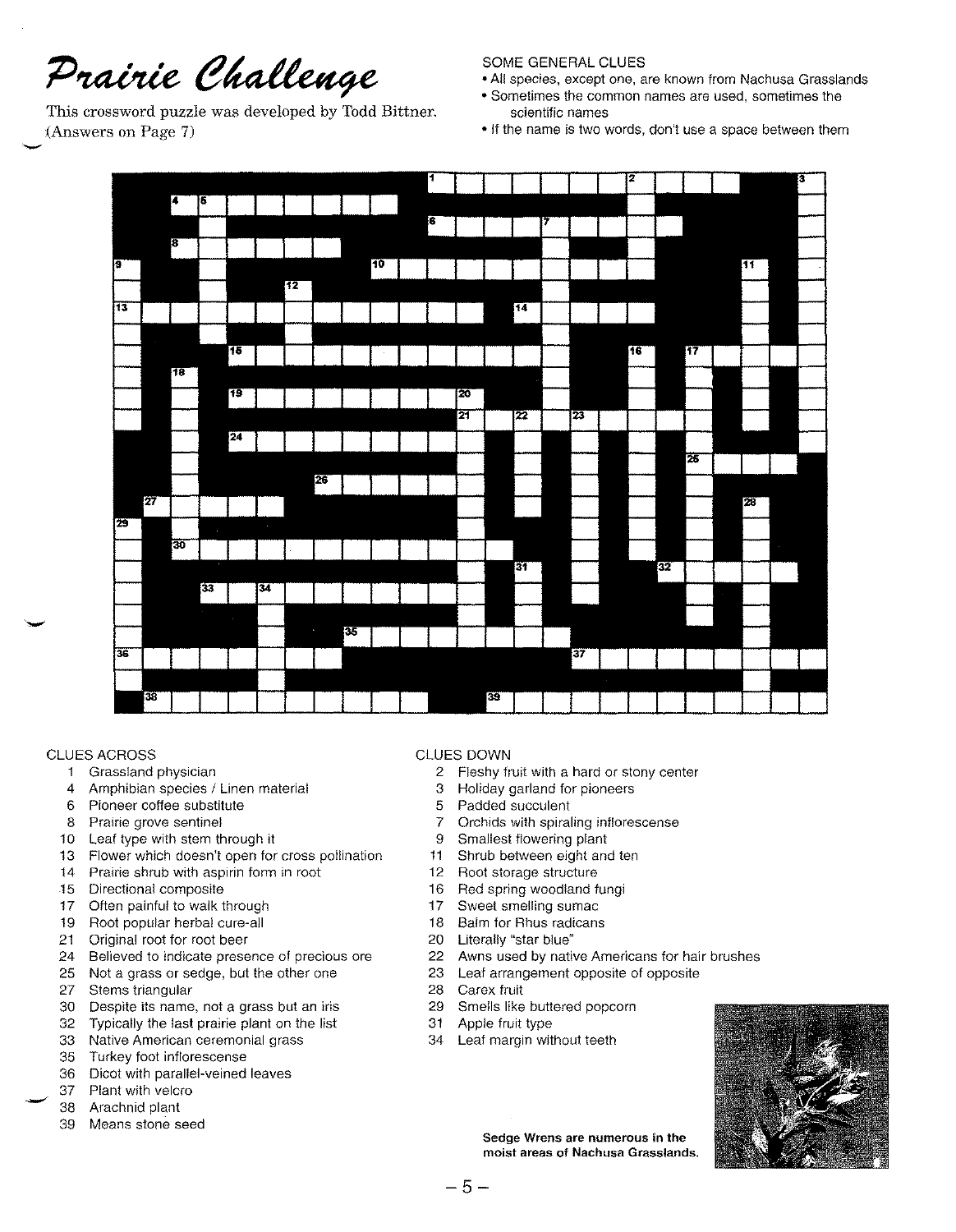## Prairie Challenge

This crossword puzzle was developed by Todd Bittner. (Answers on Page 7) -

#### SOME GENERAL CLUES

- All species, except one, are known from Nachusa Grasslands
- Sometimes the common names are used, sometimes the scientific names
- If the name is two words, don't use a space between them



#### CLUES ACROSS

- Grassland physician
- Amphibian species / Linen material
- Pioneer coffee substitute
- Prairie grove sentinel
- Leaf type with stem through it
- Flower which doesn't open for cross pollination
- Prairie shrub with aspirin form in root
- Directional composite
- Often painful to walk through
- Root popular herbal cure-all
- Original root for root beer
- Believed to indicate presence of precious ore
- Not a grass or sedge, but the other one
- Stems triangular
- Despite its name, not a grass but an iris
- Typically the last prairie plant on the list
- Native American ceremonial grass
- Turkey foot inflorescense
- Dicot with parallel-veined leaves
- Plant with velcro
- Arachnid plant
- Means stone seed

#### CLUES DOWN

- Fleshy fruit with a hard or stony center
- Holiday garland for pioneers
- Padded succulent
- Orchids with spiraling inflorescense
- Smallest flowering plant
- Shrub between eight and ten
- Root storage structure
- Red spring woodland fungi
- Sweet smelling sumac
- Balm for Rhus radicans
- Literally "star blue"
- Awns used by native Americans for hair brushes
- Leaf arrangement opposite of opposite
- Carex fruit
- Smells like buttered popcorn
- Apple fruit type
- Leaf margin without teeth



Sedge Wrens are numerous in the moist areas of Nachusa Grasslands.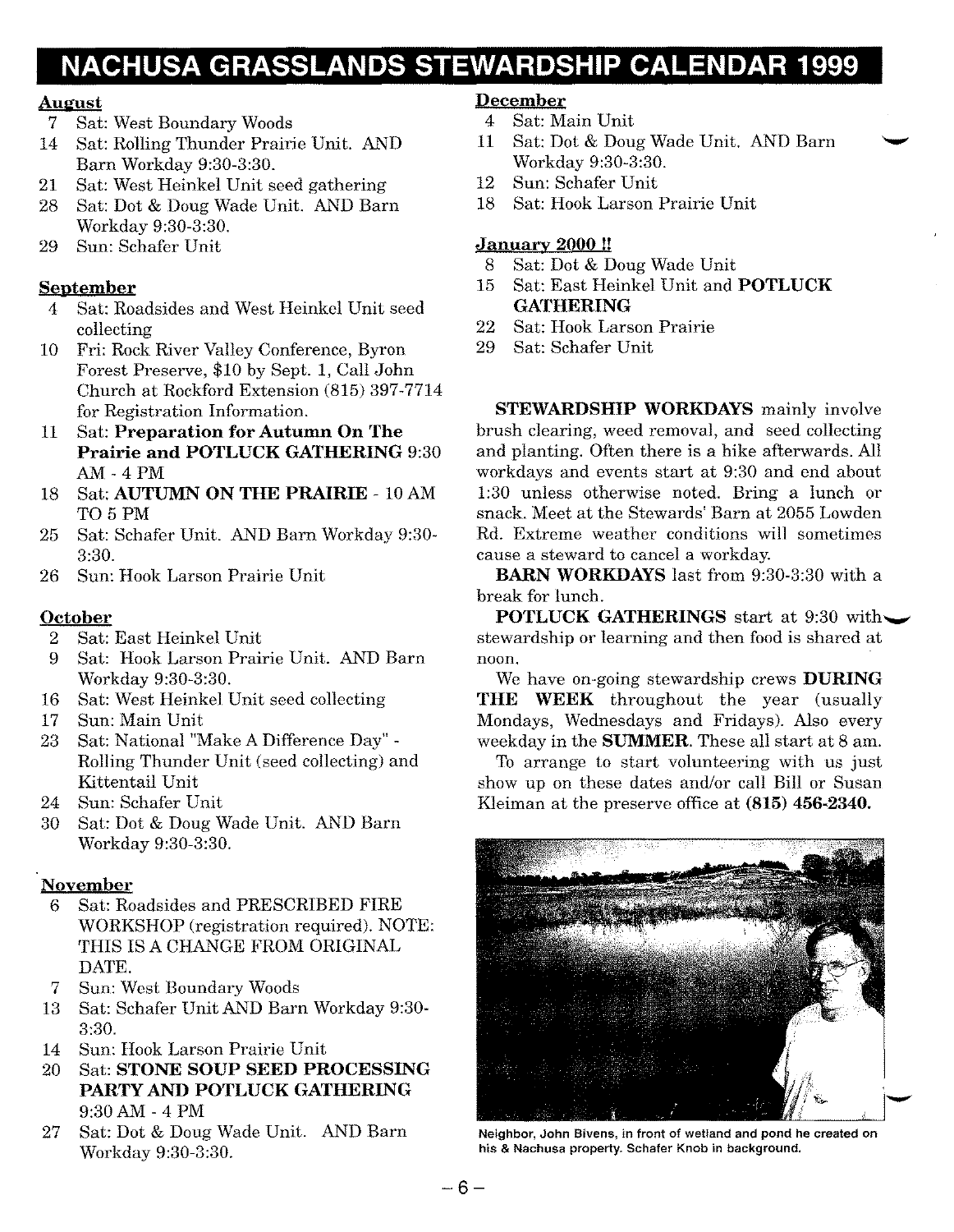### **NACHUSA GRASSLANDS STEWARDSHIP CALENDAR 1999**

#### August

- 7 Sat: West Boundary Woods
- 14 Sat: Rolling Thunder Prairie Unit. AND Barn Workday 9:30-3:30.
- 21 Sat: West Heinkel Unit seed gathering
- 28 Sat: Dot & Doug Wade Unit. AND Barn Workday 9:30-3:30.
- 29 Sun: Schafer Unit

### September

- 4 Sat: Roadsides and West Heinkel Unit seed collecting
- 10 Fri: Rock River Valley Conference, Byron Forest Preserve, \$10 by Sept. 1, Call John Church at Rockford Extension (815) 397-7714 for Registration Information.
- 11 Sat: Preparation for Autumn On The Prairie and POTLUCK GATHERING 9:30 AM - 4 PM
- 18 Sat: AUTUMN ON THE PRAIRIE 10AM T05PM
- 25 Sat: Schafer Unit. AND Barn Workday 9:30- 3:30.
- 26 Sun: Hook Larson Prairie Unit

### October

- 2 Sat: East Heinkel Unit
- 9 Sat: Hook Larson Prairie Unit. AND Barn Workday 9:30-3:30.
- 16 Sat: West Heinkel Unit seed collecting
- 17 Sun: Main Unit
- 23 Sat: National "Make A Difference Day" Rolling Thunder Unit (seed collecting) and Kittentail Unit
- 24 Sun: Schafer Unit
- 30 Sat: Dot & Doug Wade Unit. AND Barn Workday 9:30-3:30.

#### November

- 6 Sat: Roadsides and PRESCRIBED FIRE WORKSHOP (registration required). NOTE: THIS IS A CHANGE FROM ORIGINAL DATE.
- 7 Sun: West Boundary Woods
- 13 Sat: Schafer Unit AND Barn Workday 9:30- 3:30.
- 14 Sun: Hook Larson Prairie Unit
- 20 Sat: STONE SOUP SEED PROCESSING PARTY AND POTLUCK GATHERING 9:30AM - 4 PM
- 27 Sat: Dot & Doug Wade Unit. AND Barn Workday 9:30-3:30.

### December

- 4 Sat: Main Unit
- 11 Sat: Dot & Doug Wade Unit. AND Barn Workday 9:30-3:30.
- 12 Sun: Schafer Unit
- 18 Sat: Hook Larson Prairie Unit

#### January 2000 !!

- 8 Sat: Dot & Doug Wade Unit
- 15 Sat: East Heinkel Unit and POTLUCK GATHERING
- 22 Sat: Hook Larson Prairie
- 29 Sat: Schafer Unit

STEWARDSHIP WORKDAYS mainly involve brush clearing, weed removal, and seed collecting and planting. Often there is a hike afterwards. All workdays and events start at 9:30 and end about 1:30 unless otherwise noted. Bring a lunch or snack. Meet at the Stewards' Barn at 2055 Lowden Rd. Extreme weather conditions will sometimes cause a steward to cancel a workday.

BARN WORKDAYS last from 9:30-3:30 with a break for lunch.

POTLUCK GATHERINGS start at 9:30 with  $\sim$ stewardship or learning and then food is shared at noon.

We have on-going stewardship crews DURING THE WEEK throughout the year (usually Mondays, Wednesdays and Fridays). Also every weekday in the SUMMER. These all start at 8 am.

To arrange to start volunteering with us just show up on these dates and/or call Bill or Susan Kleiman at the preserve office at (815) 456-2340.



Neighbor, John Bivens, in front of wetland and pond he created on his & Nachusa property. Schafer Knob in background.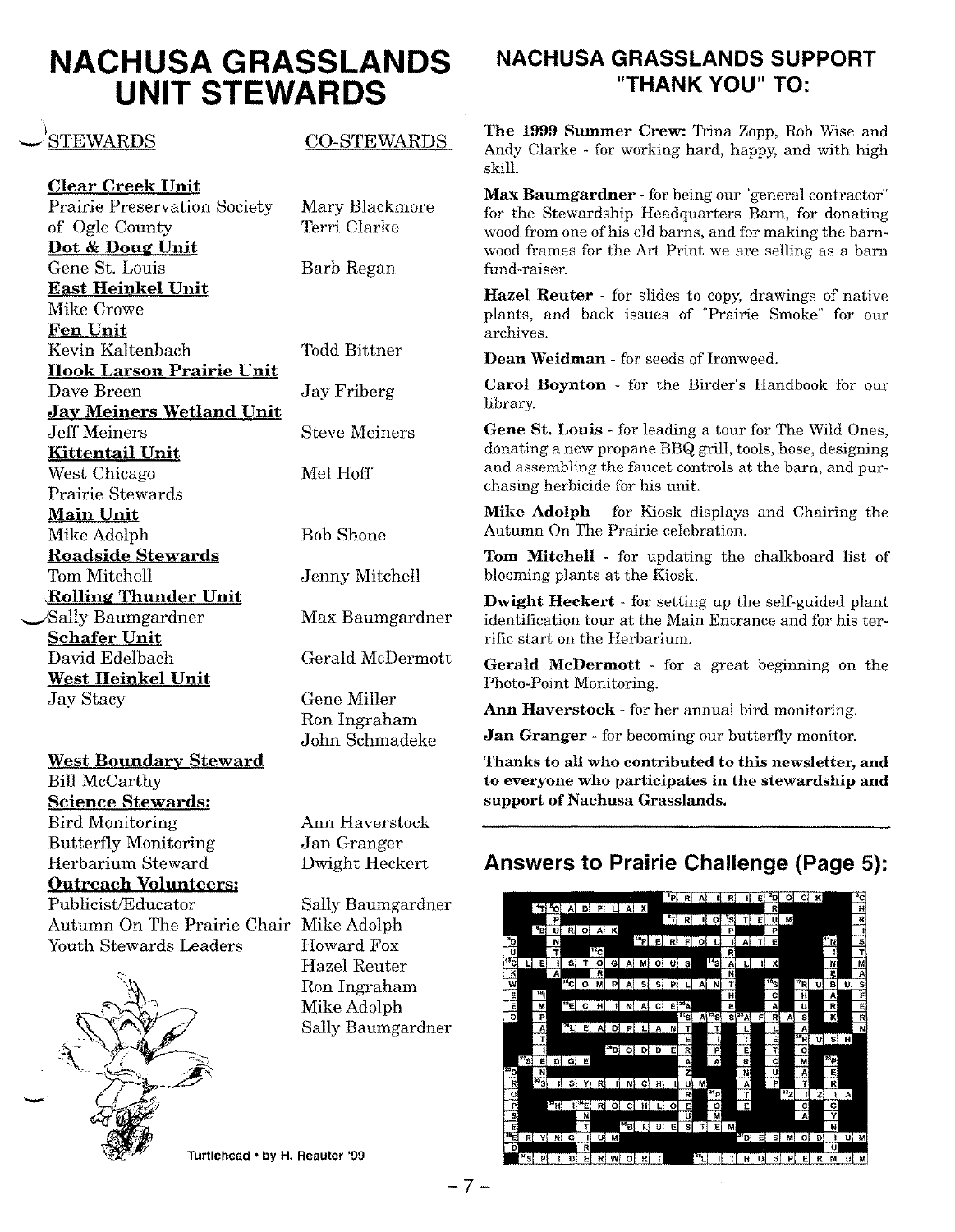### **NACHUSA GRASSLANDS UNIT STEWARDS**

### STEWARDS

Clear Creek Unit Prairie Preservation Society of Ogle County Dot & Doug Unit Gene St. Louis East Heinkel Unit Mike Crowe Fen Unit Kevin Kaltenbach Hook Larson Prairie Unit Dave Breen Jay Meiners Wetland Unit Jeff Meiners Kittentail Unit West Chicago Prairie Stewards Main Unit Mike Adolph Roadside Stewards Tom Mitchell \Rollin~ Thunder Unit ~Sally Baumgardner Schafer Unit David Edelbach West Heinkel Unit Jay Stacy

West Boundary Steward Bill McCarthy Science Stewards: Bird Monitoring Butterfly Monitoring Herbarium Steward

Outreach Volunteers: Publicist/Educator Sally Baumgardner Autumn On The Prairie Chair Mike Adolph

Youth Stewards Leaders Howard Fox



CO-STEWARDS

Mary Blackmore Terri Clarke

Barb Regan

Todd Bittner

Jay Friberg

Steve Meiners

Mel Hoff

Bob Shone

Jenny Mitchell

Max Baumgardner

Gerald McDermott

Gene Miller Ron Ingraham John Schmadeke

Ann Haverstock Jan Granger Dwight Heckert

Hazel Reuter Ron Ingraham Mike Adolph Sally Baumgardner

Turtlehead • by H. Reauter '99

### **NACHUSA GRASSLANDS SUPPORT "THANK YOU" TO:**

The 1999 Summer Crew: Trina Zopp, Rob Wise and Andy Clarke - for working hard, happy, and with high skill.

Max Baumgardner - for being our "general contractor" for the Stewardship Headquarters Barn, for donating wood from one of his old barns, and for making the barnwood frames for the Art Print we are selling as a barn fund-raiser.

Hazel Reuter - for slides to copy, drawings of native plants, and back issues of "Prairie Smoke" for our archives.

Dean Weidman - for seeds of Ironweed.

Carol Boynton - for the Birder's Handbook for our library.

Gene St. Louis - for leading a tour for The Wild Ones, donating a new propane BBQ grill, tools, hose, designing and assembling the faucet controls at the barn, and purchasing herbicide for his unit.

Mike Adolph - for Kiosk displays and Chairing the Autumn On The Prairie celebration.

Tom Mitchell - for updating the chalkboard list of blooming plants at the Kiosk.

Dwight Heckert - for setting up the self-guided plant identification tour at the Main Entrance and for his terrific start on the Herbarium.

Gerald McDermott - for a great beginning on the Photo-Point Monitoring.

Ann Haverstock - for her annual bird monitoring.

**Jan Granger** - for becoming our butterfly monitor.

Thanks to all who contributed to this newsletter, and to everyone who participates in the stewardship and support of Nachusa Grasslands.

### **Answers to Prairie Challenge (Page 5):**



 $-7-$